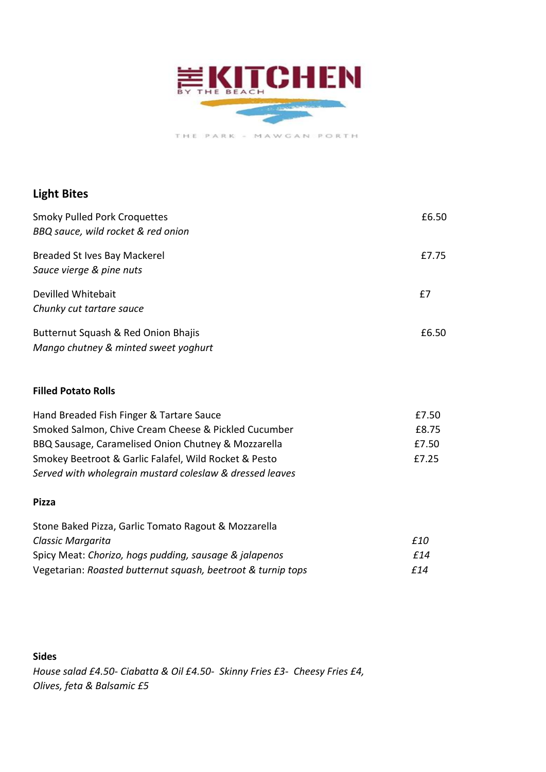

THE PARK - MAWGAN PORTH

# **Light Bites**

| <b>Smoky Pulled Pork Croquettes</b><br>BBQ sauce, wild rocket & red onion | £6.50 |
|---------------------------------------------------------------------------|-------|
| <b>Breaded St Ives Bay Mackerel</b>                                       | £7.75 |
| Sauce vierge & pine nuts                                                  |       |
| Devilled Whitebait                                                        | £7    |
| Chunky cut tartare sauce                                                  |       |
| Butternut Squash & Red Onion Bhajis                                       | £6.50 |
| Mango chutney & minted sweet yoghurt                                      |       |

## **Filled Potato Rolls**

| Hand Breaded Fish Finger & Tartare Sauce                 | £7.50 |
|----------------------------------------------------------|-------|
| Smoked Salmon, Chive Cream Cheese & Pickled Cucumber     | £8.75 |
| BBQ Sausage, Caramelised Onion Chutney & Mozzarella      | £7.50 |
| Smokey Beetroot & Garlic Falafel, Wild Rocket & Pesto    | £7.25 |
| Served with wholegrain mustard coleslaw & dressed leaves |       |

#### **Pizza**

| Stone Baked Pizza, Garlic Tomato Ragout & Mozzarella         |      |
|--------------------------------------------------------------|------|
| Classic Margarita                                            | £10  |
| Spicy Meat: Chorizo, hogs pudding, sausage & jalapenos       | f 14 |
| Vegetarian: Roasted butternut squash, beetroot & turnip tops | f 14 |

# **Sides**

*House salad £4.50- Ciabatta & Oil £4.50- Skinny Fries £3- Cheesy Fries £4, Olives, feta & Balsamic £5*